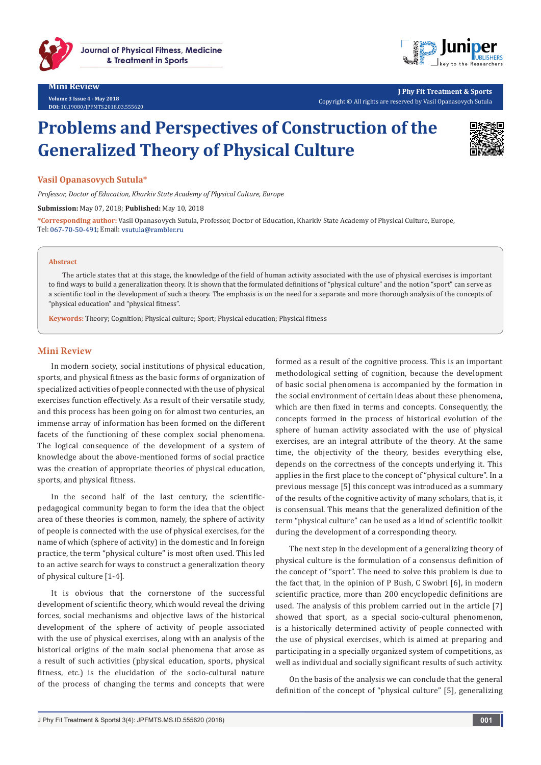

#### **Mini Review Volume 3 Issue 4 - May 2018 DOI:** 10.19080/IPFMTS.2018.03



**J Phy Fit Treatment & Sports** Copyright © All rights are reserved by Vasil Opanasovych Sutula

# **Problems and Perspectives of Construction of the Generalized Theory of Physical Culture**



## **Vasil Opanasovych Sutula\***

*Professor, Doctor of Education, Kharkiv State Academy of Physical Culture, Europe*

**Submission:** May 07, 2018; **Published:** May 10, 2018

**\*Corresponding author:** Vasil Opanasovych Sutula, Professor, Doctor of Education, Kharkiv State Academy of Physical Culture, Europe, Tel: 067-70-50-491; Email: vsutula@rambler.ru

#### **Abstract**

The article states that at this stage, the knowledge of the field of human activity associated with the use of physical exercises is important to find ways to build a generalization theory. It is shown that the formulated definitions of "physical culture" and the notion "sport" can serve as a scientific tool in the development of such a theory. The emphasis is on the need for a separate and more thorough analysis of the concepts of "physical education" and "physical fitness".

**Keywords:** Theory; Cognition; Physical culture; Sport; Physical education; Physical fitness

### **Mini Review**

In modern society, social institutions of physical education, sports, and physical fitness as the basic forms of organization of specialized activities of people connected with the use of physical exercises function effectively. As a result of their versatile study, and this process has been going on for almost two centuries, an immense array of information has been formed on the different facets of the functioning of these complex social phenomena. The logical consequence of the development of a system of knowledge about the above-mentioned forms of social practice was the creation of appropriate theories of physical education, sports, and physical fitness.

In the second half of the last century, the scientificpedagogical community began to form the idea that the object area of these theories is common, namely, the sphere of activity of people is connected with the use of physical exercises, for the name of which (sphere of activity) in the domestic and In foreign practice, the term "physical culture" is most often used. This led to an active search for ways to construct a generalization theory of physical culture [1-4].

It is obvious that the cornerstone of the successful development of scientific theory, which would reveal the driving forces, social mechanisms and objective laws of the historical development of the sphere of activity of people associated with the use of physical exercises, along with an analysis of the historical origins of the main social phenomena that arose as a result of such activities (physical education, sports, physical fitness, etc.) is the elucidation of the socio-cultural nature of the process of changing the terms and concepts that were

formed as a result of the cognitive process. This is an important methodological setting of cognition, because the development of basic social phenomena is accompanied by the formation in the social environment of certain ideas about these phenomena, which are then fixed in terms and concepts. Consequently, the concepts formed in the process of historical evolution of the sphere of human activity associated with the use of physical exercises, are an integral attribute of the theory. At the same time, the objectivity of the theory, besides everything else, depends on the correctness of the concepts underlying it. This applies in the first place to the concept of "physical culture". In a previous message [5] this concept was introduced as a summary of the results of the cognitive activity of many scholars, that is, it is consensual. This means that the generalized definition of the term "physical culture" can be used as a kind of scientific toolkit during the development of a corresponding theory.

The next step in the development of a generalizing theory of physical culture is the formulation of a consensus definition of the concept of "sport". The need to solve this problem is due to the fact that, in the opinion of P Bush, C Swobri [6], in modern scientific practice, more than 200 encyclopedic definitions are used. The analysis of this problem carried out in the article [7] showed that sport, as a special socio-cultural phenomenon, is a historically determined activity of people connected with the use of physical exercises, which is aimed at preparing and participating in a specially organized system of competitions, as well as individual and socially significant results of such activity.

On the basis of the analysis we can conclude that the general definition of the concept of "physical culture" [5], generalizing